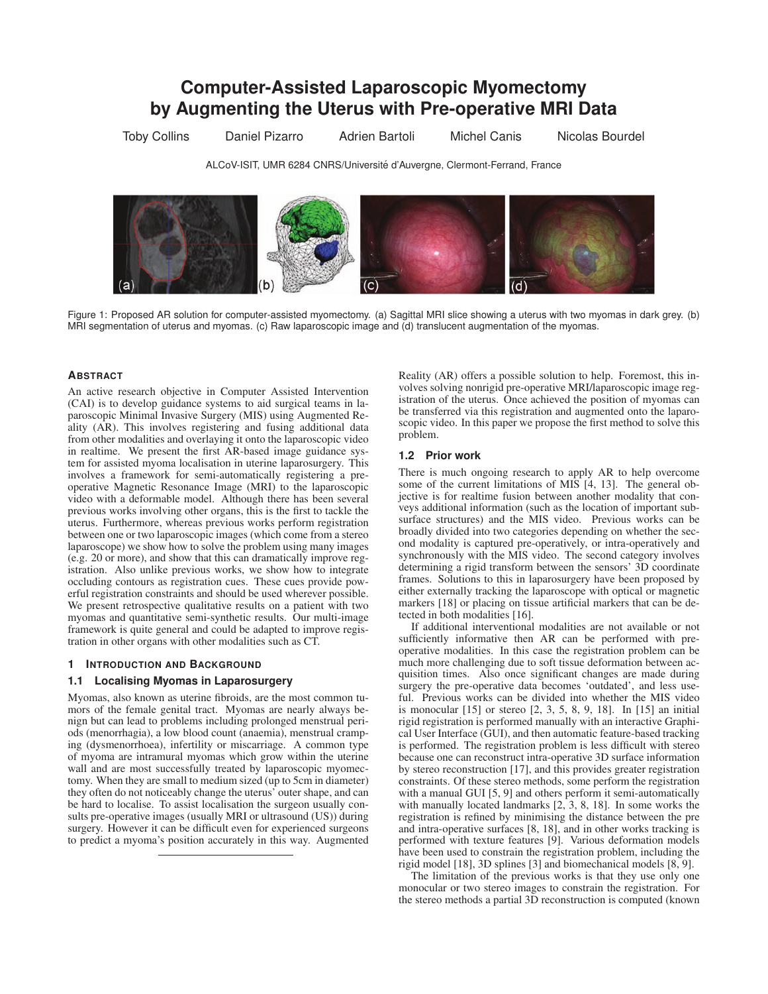# **Computer-Assisted Laparoscopic Myomectomy by Augmenting the Uterus with Pre-operative MRI Data**

Toby Collins Daniel Pizarro Adrien Bartoli Michel Canis Nicolas Bourdel

ALCoV-ISIT, UMR 6284 CNRS/Université d'Auvergne, Clermont-Ferrand, France



Figure 1: Proposed AR solution for computer-assisted myomectomy. (a) Sagittal MRI slice showing a uterus with two myomas in dark grey. (b) MRI segmentation of uterus and myomas. (c) Raw laparoscopic image and (d) translucent augmentation of the myomas.

## **ABSTRACT**

An active research objective in Computer Assisted Intervention (CAI) is to develop guidance systems to aid surgical teams in laparoscopic Minimal Invasive Surgery (MIS) using Augmented Reality (AR). This involves registering and fusing additional data from other modalities and overlaying it onto the laparoscopic video in realtime. We present the first AR-based image guidance system for assisted myoma localisation in uterine laparosurgery. This involves a framework for semi-automatically registering a preoperative Magnetic Resonance Image (MRI) to the laparoscopic video with a deformable model. Although there has been several previous works involving other organs, this is the first to tackle the uterus. Furthermore, whereas previous works perform registration between one or two laparoscopic images (which come from a stereo laparoscope) we show how to solve the problem using many images (e.g. 20 or more), and show that this can dramatically improve registration. Also unlike previous works, we show how to integrate occluding contours as registration cues. These cues provide powerful registration constraints and should be used wherever possible. We present retrospective qualitative results on a patient with two myomas and quantitative semi-synthetic results. Our multi-image framework is quite general and could be adapted to improve registration in other organs with other modalities such as CT.

# **1 INTRODUCTION AND BACKGROUND**

#### **1.1 Localising Myomas in Laparosurgery**

Myomas, also known as uterine fibroids, are the most common tumors of the female genital tract. Myomas are nearly always benign but can lead to problems including prolonged menstrual periods (menorrhagia), a low blood count (anaemia), menstrual cramping (dysmenorrhoea), infertility or miscarriage. A common type of myoma are intramural myomas which grow within the uterine wall and are most successfully treated by laparoscopic myomectomy. When they are small to medium sized (up to 5cm in diameter) they often do not noticeably change the uterus' outer shape, and can be hard to localise. To assist localisation the surgeon usually consults pre-operative images (usually MRI or ultrasound (US)) during surgery. However it can be difficult even for experienced surgeons to predict a myoma's position accurately in this way. Augmented

Reality (AR) offers a possible solution to help. Foremost, this involves solving nonrigid pre-operative MRI/laparoscopic image registration of the uterus. Once achieved the position of myomas can be transferred via this registration and augmented onto the laparoscopic video. In this paper we propose the first method to solve this problem.

## **1.2 Prior work**

There is much ongoing research to apply AR to help overcome some of the current limitations of MIS [4, 13]. The general objective is for realtime fusion between another modality that conveys additional information (such as the location of important subsurface structures) and the MIS video. Previous works can be broadly divided into two categories depending on whether the second modality is captured pre-operatively, or intra-operatively and synchronously with the MIS video. The second category involves determining a rigid transform between the sensors' 3D coordinate frames. Solutions to this in laparosurgery have been proposed by either externally tracking the laparoscope with optical or magnetic markers [18] or placing on tissue artificial markers that can be detected in both modalities [16].

If additional interventional modalities are not available or not sufficiently informative then AR can be performed with preoperative modalities. In this case the registration problem can be much more challenging due to soft tissue deformation between acquisition times. Also once significant changes are made during surgery the pre-operative data becomes 'outdated', and less useful. Previous works can be divided into whether the MIS video is monocular [15] or stereo [2, 3, 5, 8, 9, 18]. In [15] an initial rigid registration is performed manually with an interactive Graphical User Interface (GUI), and then automatic feature-based tracking is performed. The registration problem is less difficult with stereo because one can reconstruct intra-operative 3D surface information by stereo reconstruction [17], and this provides greater registration constraints. Of these stereo methods, some perform the registration with a manual GUI [5, 9] and others perform it semi-automatically with manually located landmarks [2, 3, 8, 18]. In some works the registration is refined by minimising the distance between the pre and intra-operative surfaces [8, 18], and in other works tracking is performed with texture features [9]. Various deformation models have been used to constrain the registration problem, including the rigid model [18], 3D splines [3] and biomechanical models [8, 9].

The limitation of the previous works is that they use only one monocular or two stereo images to constrain the registration. For the stereo methods a partial 3D reconstruction is computed (known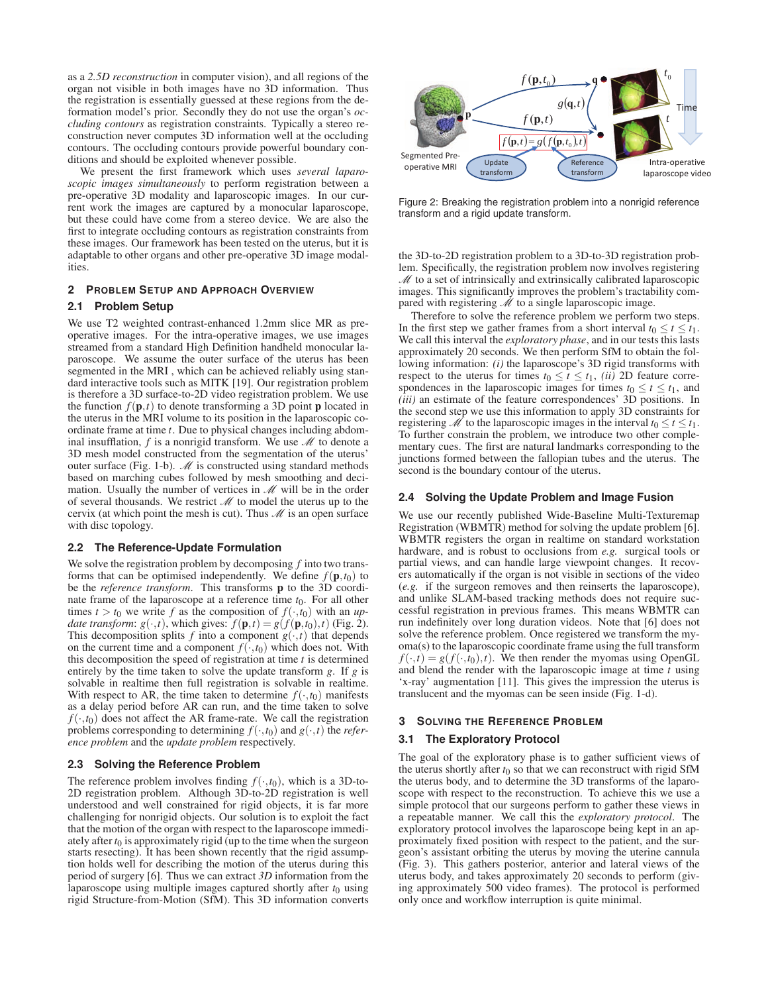as a *2.5D reconstruction* in computer vision), and all regions of the organ not visible in both images have no 3D information. Thus the registration is essentially guessed at these regions from the deformation model's prior. Secondly they do not use the organ's *occluding contours* as registration constraints. Typically a stereo reconstruction never computes 3D information well at the occluding contours. The occluding contours provide powerful boundary conditions and should be exploited whenever possible.

We present the first framework which uses *several laparoscopic images simultaneously* to perform registration between a pre-operative 3D modality and laparoscopic images. In our current work the images are captured by a monocular laparoscope, but these could have come from a stereo device. We are also the first to integrate occluding contours as registration constraints from these images. Our framework has been tested on the uterus, but it is adaptable to other organs and other pre-operative 3D image modalities.

# **2 PROBLEM SETUP AND APPROACH OVERVIEW**

#### **2.1 Problem Setup**

We use T2 weighted contrast-enhanced 1.2mm slice MR as preoperative images. For the intra-operative images, we use images streamed from a standard High Definition handheld monocular laparoscope. We assume the outer surface of the uterus has been segmented in the MRI , which can be achieved reliably using standard interactive tools such as MITK [19]. Our registration problem is therefore a 3D surface-to-2D video registration problem. We use the function  $f(\mathbf{p},t)$  to denote transforming a 3D point **p** located in the uterus in the MRI volume to its position in the laparoscopic coordinate frame at time *t*. Due to physical changes including abdominal insufflation,  $f$  is a nonrigid transform. We use  $\mathcal M$  to denote a 3D mesh model constructed from the segmentation of the uterus' outer surface (Fig. 1-b).  $\mathcal{M}$  is constructed using standard methods based on marching cubes followed by mesh smoothing and decimation. Usually the number of vertices in  $M$  will be in the order of several thousands. We restrict  $\mathcal M$  to model the uterus up to the cervix (at which point the mesh is cut). Thus  $\mathcal M$  is an open surface with disc topology.

#### **2.2 The Reference-Update Formulation**

We solve the registration problem by decomposing *f* into two transforms that can be optimised independently. We define  $f(\mathbf{p}, t_0)$  to be the *reference transform*. This transforms p to the 3D coordinate frame of the laparoscope at a reference time  $t_0$ . For all other times  $t > t_0$  we write f as the composition of  $f(\cdot, t_0)$  with an *update transform:*  $g(\cdot,t)$ , which gives:  $f(\mathbf{p},t) = g(f(\mathbf{p},t_0),t)$  (Fig. 2). This decomposition splits *f* into a component  $g(\cdot,t)$  that depends on the current time and a component  $f(\cdot,t_0)$  which does not. With this decomposition the speed of registration at time *t* is determined entirely by the time taken to solve the update transform *g*. If *g* is solvable in realtime then full registration is solvable in realtime. With respect to AR, the time taken to determine  $f(\cdot,t_0)$  manifests as a delay period before AR can run, and the time taken to solve  $f(\cdot,t_0)$  does not affect the AR frame-rate. We call the registration problems corresponding to determining  $f(\cdot,t_0)$  and  $g(\cdot,t)$  the *reference problem* and the *update problem* respectively.

#### **2.3 Solving the Reference Problem**

The reference problem involves finding  $f(\cdot,t_0)$ , which is a 3D-to-2D registration problem. Although 3D-to-2D registration is well understood and well constrained for rigid objects, it is far more challenging for nonrigid objects. Our solution is to exploit the fact that the motion of the organ with respect to the laparoscope immediately after  $t_0$  is approximately rigid (up to the time when the surgeon starts resecting). It has been shown recently that the rigid assumption holds well for describing the motion of the uterus during this period of surgery [6]. Thus we can extract *3D* information from the laparoscope using multiple images captured shortly after  $t_0$  using rigid Structure-from-Motion (SfM). This 3D information converts



Figure 2: Breaking the registration problem into a nonrigid reference transform and a rigid update transform.

the 3D-to-2D registration problem to a 3D-to-3D registration problem. Specifically, the registration problem now involves registering  $M$  to a set of intrinsically and extrinsically calibrated laparoscopic images. This significantly improves the problem's tractability compared with registering  $M$  to a single laparoscopic image.

Therefore to solve the reference problem we perform two steps. In the first step we gather frames from a short interval  $t_0 \le t \le t_1$ . We call this interval the *exploratory phase*, and in our tests this lasts approximately 20 seconds. We then perform SfM to obtain the following information: *(i)* the laparoscope's 3D rigid transforms with respect to the uterus for times  $t_0 \le t \le t_1$ , *(ii)* 2D feature correspondences in the laparoscopic images for times  $t_0 \le t \le t_1$ , and *(iii)* an estimate of the feature correspondences' 3D positions. In the second step we use this information to apply 3D constraints for registering M to the laparoscopic images in the interval  $t_0 \le t \le t_1$ . To further constrain the problem, we introduce two other complementary cues. The first are natural landmarks corresponding to the junctions formed between the fallopian tubes and the uterus. The second is the boundary contour of the uterus.

## **2.4 Solving the Update Problem and Image Fusion**

We use our recently published Wide-Baseline Multi-Texturemap Registration (WBMTR) method for solving the update problem [6]. WBMTR registers the organ in realtime on standard workstation hardware, and is robust to occlusions from *e.g.* surgical tools or partial views, and can handle large viewpoint changes. It recovers automatically if the organ is not visible in sections of the video (*e.g.* if the surgeon removes and then reinserts the laparoscope), and unlike SLAM-based tracking methods does not require successful registration in previous frames. This means WBMTR can run indefinitely over long duration videos. Note that [6] does not solve the reference problem. Once registered we transform the myoma(s) to the laparoscopic coordinate frame using the full transform  $f(\cdot,t) = g(f(\cdot,t_0),t)$ . We then render the myomas using OpenGL and blend the render with the laparoscopic image at time  $\hat{t}$  using 'x-ray' augmentation [11]. This gives the impression the uterus is translucent and the myomas can be seen inside (Fig. 1-d).

#### **3 SOLVING THE REFERENCE PROBLEM**

## **3.1 The Exploratory Protocol**

The goal of the exploratory phase is to gather sufficient views of the uterus shortly after  $t_0$  so that we can reconstruct with rigid SfM the uterus body, and to determine the 3D transforms of the laparoscope with respect to the reconstruction. To achieve this we use a simple protocol that our surgeons perform to gather these views in a repeatable manner. We call this the *exploratory protocol*. The exploratory protocol involves the laparoscope being kept in an approximately fixed position with respect to the patient, and the surgeon's assistant orbiting the uterus by moving the uterine cannula (Fig. 3). This gathers posterior, anterior and lateral views of the uterus body, and takes approximately 20 seconds to perform (giving approximately 500 video frames). The protocol is performed only once and workflow interruption is quite minimal.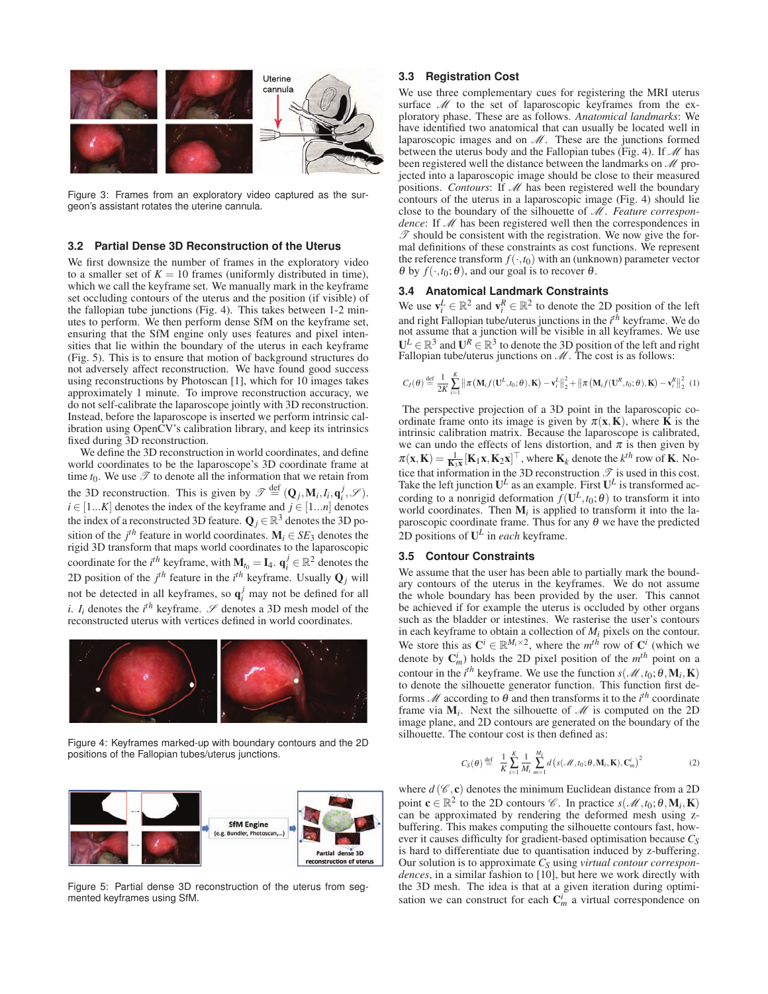

Figure 3: Frames from an exploratory video captured as the surgeon's assistant rotates the uterine cannula.

#### **3.2 Partial Dense 3D Reconstruction of the Uterus**

We first downsize the number of frames in the exploratory video to a smaller set of  $K = 10$  frames (uniformly distributed in time), which we call the keyframe set. We manually mark in the keyframe set occluding contours of the uterus and the position (if visible) of the fallopian tube junctions (Fig. 4). This takes between 1-2 minutes to perform. We then perform dense SfM on the keyframe set, ensuring that the SfM engine only uses features and pixel intensities that lie within the boundary of the uterus in each keyframe (Fig. 5). This is to ensure that motion of background structures do not adversely affect reconstruction. We have found good success using reconstructions by Photoscan [1], which for 10 images takes approximately 1 minute. To improve reconstruction accuracy, we do not self-calibrate the laparoscope jointly with 3D reconstruction. Instead, before the laparoscope is inserted we perform intrinsic calibration using OpenCV's calibration library, and keep its intrinsics fixed during 3D reconstruction.

We define the 3D reconstruction in world coordinates, and define world coordinates to be the laparoscope's 3D coordinate frame at time  $t_0$ . We use  $\mathscr T$  to denote all the information that we retain from the 3D reconstruction. This is given by  $\mathscr{T} \stackrel{\text{def}}{=} (\mathbf{Q}_j, \mathbf{M}_i, I_i, \mathbf{q}_i^j, \mathscr{S})$ . *i* ∈ [1...*K*] denotes the index of the keyframe and *j* ∈ [1...*n*] denotes the index of a reconstructed 3D feature.  $\mathbf{Q}_i \in \mathbb{R}^3$  denotes the 3D position of the *j*<sup>th</sup> feature in world coordinates.  $M_i \in SE_3$  denotes the rigid 3D transform that maps world coordinates to the laparoscopic coordinate for the *i*<sup>th</sup> keyframe, with  $M_{t_0} = I_4$ .  $q_i^j \in \mathbb{R}^2$  denotes the 2D position of the  $j<sup>th</sup>$  feature in the  $i<sup>th</sup>$  keyframe. Usually  $\mathbf{Q}_j$  will not be detected in all keyframes, so  $q_i^j$  may not be defined for all *i*.  $I_i$  denotes the *i*<sup>th</sup> keyframe.  $\mathscr S$  denotes a 3D mesh model of the reconstructed uterus with vertices defined in world coordinates.



Figure 4: Keyframes marked-up with boundary contours and the 2D positions of the Fallopian tubes/uterus junctions.



Figure 5: Partial dense 3D reconstruction of the uterus from segmented keyframes using SfM.

# **3.3 Registration Cost**

We use three complementary cues for registering the MRI uterus surface  $M$  to the set of laparoscopic keyframes from the exploratory phase. These are as follows. *Anatomical landmarks*: We have identified two anatomical that can usually be located well in laparoscopic images and on  $M$ . These are the junctions formed between the uterus body and the Fallopian tubes (Fig. 4). If  $\mathcal M$  has been registered well the distance between the landmarks on  $\mathcal M$  projected into a laparoscopic image should be close to their measured positions. *Contours*: If *M* has been registered well the boundary contours of the uterus in a laparoscopic image (Fig. 4) should lie close to the boundary of the silhouette of M. *Feature correspondence*: If *M* has been registered well then the correspondences in  $\mathscr T$  should be consistent with the registration. We now give the formal definitions of these constraints as cost functions. We represent the reference transform  $f(\cdot,t_0)$  with an (unknown) parameter vector  $\theta$  by  $f(\cdot,t_0;\theta)$ , and our goal is to recover  $\theta$ .

#### **3.4 Anatomical Landmark Constraints**

We use  $\mathbf{v}_i^L \in \mathbb{R}^2$  and  $\mathbf{v}_i^R \in \mathbb{R}^2$  to denote the 2D position of the left and right Fallopian tube/uterus junctions in the *i th* keyframe. We do not assume that a junction will be visible in all keyframes. We use  $U^L \in \mathbb{R}^3$  and  $U^R \in \mathbb{R}^3$  to denote the 3D position of the left and right Fallopian tube/uterus junctions on  $\mathcal{M}$ . The cost is as follows:

$$
C_J(\boldsymbol{\theta}) \stackrel{\text{def}}{=} \frac{1}{2K} \sum_{i=1}^K \left\| \pi \left(\mathbf{M}_i f(\mathbf{U}^L, t_0; \boldsymbol{\theta}), \mathbf{K} \right) - \mathbf{v}_t^L \right\|_2^2 + \left\| \pi \left(\mathbf{M}_i f(\mathbf{U}^R, t_0; \boldsymbol{\theta}), \mathbf{K} \right) - \mathbf{v}_i^R \right\|_2^2 \tag{1}
$$

The perspective projection of a 3D point in the laparoscopic coordinate frame onto its image is given by  $\pi(\mathbf{x}, \mathbf{K})$ , where **K** is the intrinsic calibration matrix. Because the laparoscope is calibrated, we can undo the effects of lens distortion, and  $\pi$  is then given by  $\pi(\mathbf{x}, \mathbf{K}) = \frac{1}{\mathbf{K}_3 \mathbf{x}} [\mathbf{K}_1 \mathbf{x}, \mathbf{K}_2 \mathbf{x}]^\top$ , where  $\mathbf{K}_k$  denote the  $k^{th}$  row of **K**. Notice that information in the 3D reconstruction  $\mathcal{T}$  is used in this cost.<br>Take the left junction  $U^L$  as an example. First  $U^L$  is transformed according to a nonrigid deformation  $f(\mathbf{U}^L, t_0; \theta)$  to transform it into world coordinates. Then  $M_i$  is applied to transform it into the laparoscopic coordinate frame. Thus for any  $\theta$  we have the predicted 2D positions of U*<sup>L</sup>* in *each* keyframe.

#### **3.5 Contour Constraints**

We assume that the user has been able to partially mark the boundary contours of the uterus in the keyframes. We do not assume the whole boundary has been provided by the user. This cannot be achieved if for example the uterus is occluded by other organs such as the bladder or intestines. We rasterise the user's contours in each keyframe to obtain a collection of *Mi* pixels on the contour. We store this as  $C^i \in \mathbb{R}^{M_i \times 2}$ , where the *m<sup>th</sup>* row of  $C^i$  (which we denote by  $C_m^i$ ) holds the 2D pixel position of the  $m^{th}$  point on a contour in the *i*<sup>th</sup> keyframe. We use the function  $s(M, t_0; \theta, M_i, K)$ to denote the silhouette generator function. This function first deforms  $M$  according to  $\theta$  and then transforms it to the *i*<sup>th</sup> coordinate frame via  $M_i$ . Next the silhouette of  $\mathcal M$  is computed on the 2D image plane, and 2D contours are generated on the boundary of the silhouette. The contour cost is then defined as:

$$
C_S(\theta) \stackrel{\text{def}}{=} \frac{1}{K} \sum_{i=1}^K \frac{1}{M_i} \sum_{m=1}^{M_i} d\left(s(\mathcal{M}, t_0; \theta, \mathbf{M}_i, \mathbf{K}), \mathbf{C}_m^i\right)^2 \tag{2}
$$

where  $d(\mathscr{C}, \mathbf{c})$  denotes the minimum Euclidean distance from a 2D point  $c \in \mathbb{R}^2$  to the 2D contours  $\mathscr{C}$ . In practice  $s(\mathscr{M}, t_0; \theta, \mathbf{M}_i, \mathbf{K})$ can be approximated by rendering the deformed mesh using zbuffering. This makes computing the silhouette contours fast, however it causes difficulty for gradient-based optimisation because  $C_S$ is hard to differentiate due to quantisation induced by z-buffering. Our solution is to approximate *CS* using *virtual contour correspondences*, in a similar fashion to [10], but here we work directly with the 3D mesh. The idea is that at a given iteration during optimisation we can construct for each  $\mathbf{C}_m^i$  a virtual correspondence on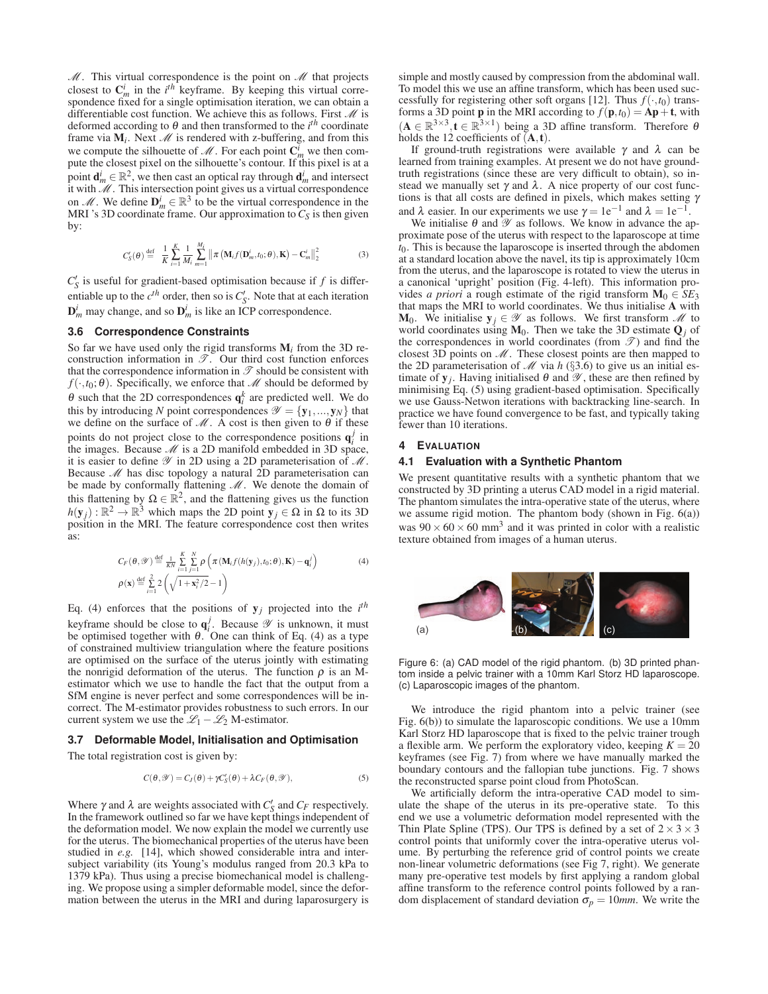$M$ . This virtual correspondence is the point on  $M$  that projects closest to  $C_m^i$  in the *i*<sup>th</sup> keyframe. By keeping this virtual correspondence fixed for a single optimisation iteration, we can obtain a differentiable cost function. We achieve this as follows. First  $\mathcal M$  is deformed according to  $\theta$  and then transformed to the  $i^{th}$  coordinate frame via  $M_i$ . Next  $\mathcal M$  is rendered with z-buffering, and from this we compute the silhouette of  $\mathcal{M}$ . For each point  $\overline{C}_m^{\overline{I}}$  we then com-<br>pute the closest pixel on the silhouette's contour. If this pixel is at a point  $\mathbf{d}^i_m \in \mathbb{R}^2$ , we then cast an optical ray through  $\mathbf{d}^i_m$  and intersect it with  $\mathcal M$ . This intersection point gives us a virtual correspondence on *M*. We define  $D_m^i \in \mathbb{R}^3$  to be the virtual correspondence in the MRI's 3D coordinate frame. Our approximation to  $C_S$  is then given by:

$$
C'_{S}(\theta) \stackrel{\text{def}}{=} \frac{1}{K} \sum_{i=1}^{K} \frac{1}{M_{i}} \sum_{m=1}^{M_{i}} \left\| \pi \left( \mathbf{M}_{i} f(\mathbf{D}_{m}^{i}, t_{0}; \theta), \mathbf{K} \right) - \mathbf{C}_{m}^{i} \right\|_{2}^{2} \tag{3}
$$

 $C'_{S}$  is useful for gradient-based optimisation because if *f* is differentiable up to the  $c^{th}$  order, then so is  $C_S'$ . Note that at each iteration  $\mathbf{D}_m^i$  may change, and so  $\mathbf{D}_m^i$  is like an ICP correspondence.

## **3.6 Correspondence Constraints**

So far we have used only the rigid transforms M*<sup>i</sup>* from the 3D reconstruction information in  $\mathscr{T}$ . Our third cost function enforces that the correspondence information in  $\mathscr T$  should be consistent with  $f(\cdot,t_0;\theta)$ . Specifically, we enforce that *M* should be deformed by  $\theta$  such that the 2D correspondences  $\mathbf{q}_i^k$  are predicted well. We do this by introducing *N* point correspondences  $\mathcal{Y} = {\mathbf{y}_1, ..., \mathbf{y}_N}$  that we define on the surface of  $\mathcal{M}$ . A cost is then given to  $\theta$  if these points do not project close to the correspondence positions  $q_i^j$  in the images. Because  $M$  is a 2D manifold embedded in 3D space, it is easier to define  $\mathscr Y$  in 2D using a 2D parameterisation of  $\mathscr M$ . Because M has disc topology a natural 2D parameterisation can be made by conformally flattening  $M$ . We denote the domain of this flattening by  $\Omega \in \mathbb{R}^2$ , and the flattening gives us the function  $h(\mathbf{y}_i): \mathbb{R}^2 \to \mathbb{R}^3$  which maps the 2D point  $\mathbf{y}_i \in \Omega$  in  $\Omega$  to its 3D position in the MRI. The feature correspondence cost then writes as:

$$
C_F(\theta, \mathcal{Y}) \stackrel{\text{def}}{=} \frac{1}{KN} \sum_{i=1}^{K} \sum_{j=1}^{N} \rho \left( \pi \left( \mathbf{M}_i f(h(\mathbf{y}_j), t_0; \theta), \mathbf{K} \right) - \mathbf{q}_i^j \right)
$$
  

$$
\rho(\mathbf{x}) \stackrel{\text{def}}{=} \sum_{i=1}^{2} 2 \left( \sqrt{1 + \mathbf{x}_i^2 / 2} - 1 \right)
$$
 (4)

Eq. (4) enforces that the positions of  $y_j$  projected into the *i*<sup>th</sup> keyframe should be close to  $q_i^j$ . Because  $\mathcal Y$  is unknown, it must be optimised together with  $\theta$ . One can think of Eq. (4) as a type of constrained multiview triangulation where the feature positions are optimised on the surface of the uterus jointly with estimating the nonrigid deformation of the uterus. The function  $\rho$  is an Mestimator which we use to handle the fact that the output from a SfM engine is never perfect and some correspondences will be incorrect. The M-estimator provides robustness to such errors. In our current system we use the  $\mathcal{L}_1 - \mathcal{L}_2$  M-estimator.

#### **3.7 Deformable Model, Initialisation and Optimisation**

The total registration cost is given by:

$$
C(\theta, \mathscr{Y}) = C_J(\theta) + \gamma C_S'(\theta) + \lambda C_F(\theta, \mathscr{Y}), \tag{5}
$$

Where  $\gamma$  and  $\lambda$  are weights associated with  $C'_{\rm S}$  and  $C_{\rm F}$  respectively. In the framework outlined so far we have kept things independent of the deformation model. We now explain the model we currently use for the uterus. The biomechanical properties of the uterus have been studied in *e.g.* [14], which showed considerable intra and intersubject variability (its Young's modulus ranged from 20.3 kPa to 1379 kPa). Thus using a precise biomechanical model is challenging. We propose using a simpler deformable model, since the deformation between the uterus in the MRI and during laparosurgery is

simple and mostly caused by compression from the abdominal wall. To model this we use an affine transform, which has been used successfully for registering other soft organs [12]. Thus  $f(\cdot,t_0)$  transforms a 3D point **p** in the MRI according to  $f(\mathbf{p}, t_0) = \mathbf{A}\mathbf{p} + \mathbf{t}$ , with  $(A \in \mathbb{R}^{3\times3}, t \in \mathbb{R}^{3\times1})$  being a 3D affine transform. Therefore  $\theta$ holds the 12 coefficients of  $(A, t)$ .

If ground-truth registrations were available  $\gamma$  and  $\lambda$  can be learned from training examples. At present we do not have groundtruth registrations (since these are very difficult to obtain), so instead we manually set  $\gamma$  and  $\lambda$ . A nice property of our cost functions is that all costs are defined in pixels, which makes setting  $\gamma$ and  $\lambda$  easier. In our experiments we use  $\gamma = 1e^{-1}$  and  $\lambda = 1e^{-1}$ .

We initialise  $\theta$  and  $\mathscr Y$  as follows. We know in advance the approximate pose of the uterus with respect to the laparoscope at time *t*0. This is because the laparoscope is inserted through the abdomen at a standard location above the navel, its tip is approximately 10cm from the uterus, and the laparoscope is rotated to view the uterus in a canonical 'upright' position (Fig. 4-left). This information provides *a priori* a rough estimate of the rigid transform  $M_0 \n\in SE_3$ that maps the MRI to world coordinates. We thus initialise A with **M**<sub>0</sub>. We initialise  $y_j \in \mathcal{Y}$  as follows. We first transform  $\mathcal{M}$  to world coordinates using  $M_0$ . Then we take the 3D estimate  $Q_i$  of the correspondences in world coordinates (from  $\mathscr{T}$ ) and find the closest 3D points on  $\mathcal M$ . These closest points are then mapped to the 2D parameterisation of  $M$  via  $h$  (§3.6) to give us an initial estimate of  $y_j$ . Having initialised  $\theta$  and  $\mathscr Y$ , these are then refined by minimising Eq. (5) using gradient-based optimisation. Specifically we use Gauss-Netwon iterations with backtracking line-search. In practice we have found convergence to be fast, and typically taking fewer than 10 iterations.

#### **4 EVALUATION**

#### **4.1 Evaluation with a Synthetic Phantom**

We present quantitative results with a synthetic phantom that we constructed by 3D printing a uterus CAD model in a rigid material. The phantom simulates the intra-operative state of the uterus, where we assume rigid motion. The phantom body (shown in Fig. 6(a)) was  $90 \times 60 \times 60$  mm<sup>3</sup> and it was printed in color with a realistic texture obtained from images of a human uterus.



Figure 6: (a) CAD model of the rigid phantom. (b) 3D printed phantom inside a pelvic trainer with a 10mm Karl Storz HD laparoscope. (c) Laparoscopic images of the phantom.

We introduce the rigid phantom into a pelvic trainer (see Fig. 6(b)) to simulate the laparoscopic conditions. We use a 10mm Karl Storz HD laparoscope that is fixed to the pelvic trainer trough a flexible arm. We perform the exploratory video, keeping  $K = 20$ keyframes (see Fig. 7) from where we have manually marked the boundary contours and the fallopian tube junctions. Fig. 7 shows the reconstructed sparse point cloud from PhotoScan.

We artificially deform the intra-operative CAD model to simulate the shape of the uterus in its pre-operative state. To this end we use a volumetric deformation model represented with the Thin Plate Spline (TPS). Our TPS is defined by a set of  $2 \times 3 \times 3$ control points that uniformly cover the intra-operative uterus volume. By perturbing the reference grid of control points we create non-linear volumetric deformations (see Fig 7, right). We generate many pre-operative test models by first applying a random global affine transform to the reference control points followed by a random displacement of standard deviation  $\sigma_p = 10$ *mm*. We write the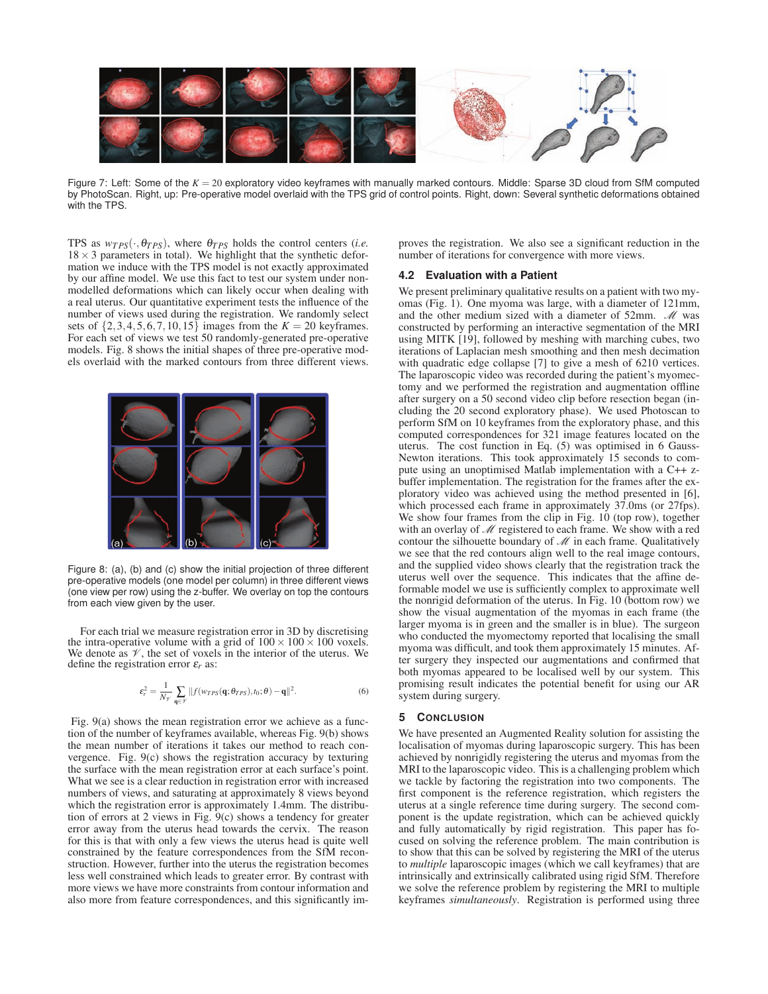

Figure 7: Left: Some of the  $K = 20$  exploratory video keyframes with manually marked contours. Middle: Sparse 3D cloud from SfM computed by PhotoScan. Right, up: Pre-operative model overlaid with the TPS grid of control points. Right, down: Several synthetic deformations obtained with the TPS.

TPS as  $w_{TPS}(\cdot, \theta_{TPS})$ , where  $\theta_{TPS}$  holds the control centers (*i.e.*  $18 \times 3$  parameters in total). We highlight that the synthetic deformation we induce with the TPS model is not exactly approximated by our affine model. We use this fact to test our system under nonmodelled deformations which can likely occur when dealing with a real uterus. Our quantitative experiment tests the influence of the number of views used during the registration. We randomly select sets of  $\{2,3,4,5,6,7,10,15\}$  images from the  $K = 20$  keyframes. For each set of views we test 50 randomly-generated pre-operative models. Fig. 8 shows the initial shapes of three pre-operative models overlaid with the marked contours from three different views.



Figure 8: (a), (b) and (c) show the initial projection of three different pre-operative models (one model per column) in three different views (one view per row) using the z-buffer. We overlay on top the contours from each view given by the user.

For each trial we measure registration error in 3D by discretising the intra-operative volume with a grid of  $100 \times 100 \times 100$  voxels. We denote as  $\mathcal V$ , the set of voxels in the interior of the uterus. We define the registration error  $\varepsilon_r$  as:

$$
\varepsilon_r^2 = \frac{1}{N_\mathcal{V}} \sum_{\mathbf{q} \in \mathcal{V}} \| f(w_{TPS}(\mathbf{q}; \theta_{TPS}), t_0; \theta) - \mathbf{q} \|^2.
$$
 (6)

Fig. 9(a) shows the mean registration error we achieve as a function of the number of keyframes available, whereas Fig. 9(b) shows the mean number of iterations it takes our method to reach convergence. Fig. 9(c) shows the registration accuracy by texturing the surface with the mean registration error at each surface's point. What we see is a clear reduction in registration error with increased numbers of views, and saturating at approximately 8 views beyond which the registration error is approximately 1.4mm. The distribution of errors at 2 views in Fig. 9(c) shows a tendency for greater error away from the uterus head towards the cervix. The reason for this is that with only a few views the uterus head is quite well constrained by the feature correspondences from the SfM reconstruction. However, further into the uterus the registration becomes less well constrained which leads to greater error. By contrast with more views we have more constraints from contour information and also more from feature correspondences, and this significantly improves the registration. We also see a significant reduction in the number of iterations for convergence with more views.

# **4.2 Evaluation with a Patient**

We present preliminary qualitative results on a patient with two myomas (Fig. 1). One myoma was large, with a diameter of 121mm, and the other medium sized with a diameter of 52mm.  $M$  was constructed by performing an interactive segmentation of the MRI using MITK [19], followed by meshing with marching cubes, two iterations of Laplacian mesh smoothing and then mesh decimation with quadratic edge collapse [7] to give a mesh of 6210 vertices. The laparoscopic video was recorded during the patient's myomectomy and we performed the registration and augmentation offline after surgery on a 50 second video clip before resection began (including the 20 second exploratory phase). We used Photoscan to perform SfM on 10 keyframes from the exploratory phase, and this computed correspondences for 321 image features located on the uterus. The cost function in Eq. (5) was optimised in 6 Gauss-Newton iterations. This took approximately 15 seconds to compute using an unoptimised Matlab implementation with a C++ zbuffer implementation. The registration for the frames after the exploratory video was achieved using the method presented in [6], which processed each frame in approximately 37.0ms (or 27fps). We show four frames from the clip in Fig. 10 (top row), together with an overlay of  $M$  registered to each frame. We show with a red contour the silhouette boundary of  $\mathcal M$  in each frame. Qualitatively we see that the red contours align well to the real image contours, and the supplied video shows clearly that the registration track the uterus well over the sequence. This indicates that the affine deformable model we use is sufficiently complex to approximate well the nonrigid deformation of the uterus. In Fig. 10 (bottom row) we show the visual augmentation of the myomas in each frame (the larger myoma is in green and the smaller is in blue). The surgeon who conducted the myomectomy reported that localising the small myoma was difficult, and took them approximately 15 minutes. After surgery they inspected our augmentations and confirmed that both myomas appeared to be localised well by our system. This promising result indicates the potential benefit for using our AR system during surgery.

# **5 CONCLUSION**

We have presented an Augmented Reality solution for assisting the localisation of myomas during laparoscopic surgery. This has been achieved by nonrigidly registering the uterus and myomas from the MRI to the laparoscopic video. This is a challenging problem which we tackle by factoring the registration into two components. The first component is the reference registration, which registers the uterus at a single reference time during surgery. The second component is the update registration, which can be achieved quickly and fully automatically by rigid registration. This paper has focused on solving the reference problem. The main contribution is to show that this can be solved by registering the MRI of the uterus to *multiple* laparoscopic images (which we call keyframes) that are intrinsically and extrinsically calibrated using rigid SfM. Therefore we solve the reference problem by registering the MRI to multiple keyframes *simultaneously*. Registration is performed using three